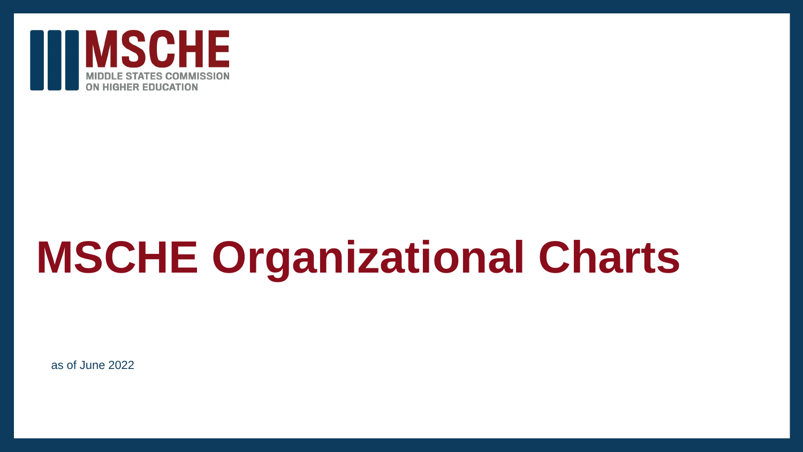

# **MSCHE Organizational Charts**

as of June 2022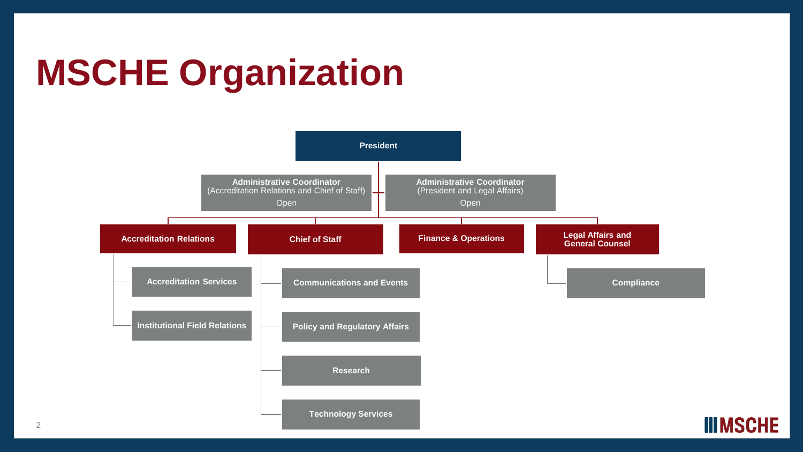# **MSCHE Organization**

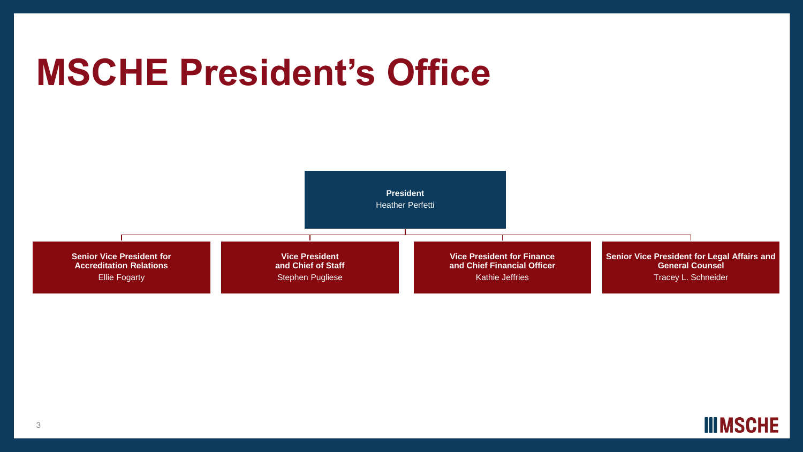## **MSCHE President's Office**



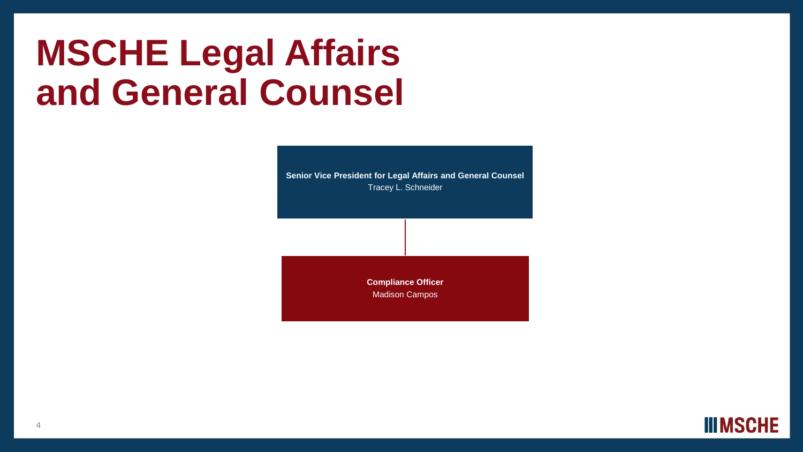## **MSCHE Legal Affairs and General Counsel**

**Senior Vice President for Legal Affairs and General Counsel** Tracey L. Schneider

> **Compliance Officer** Madison Campos

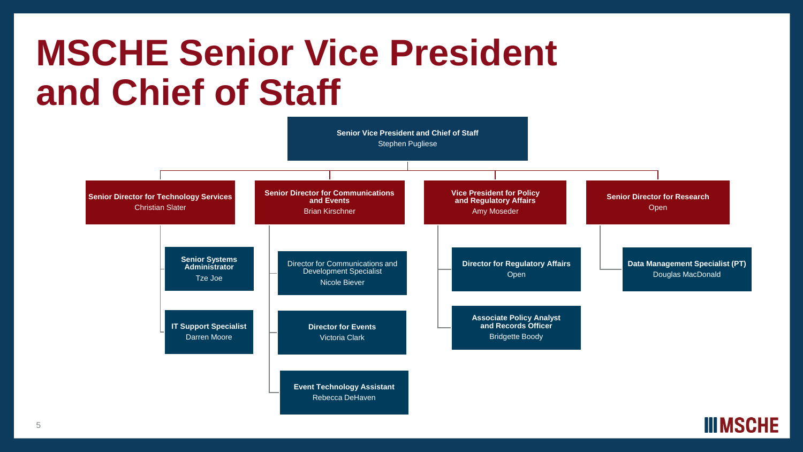## **MSCHE Senior Vice President and Chief of Staff**



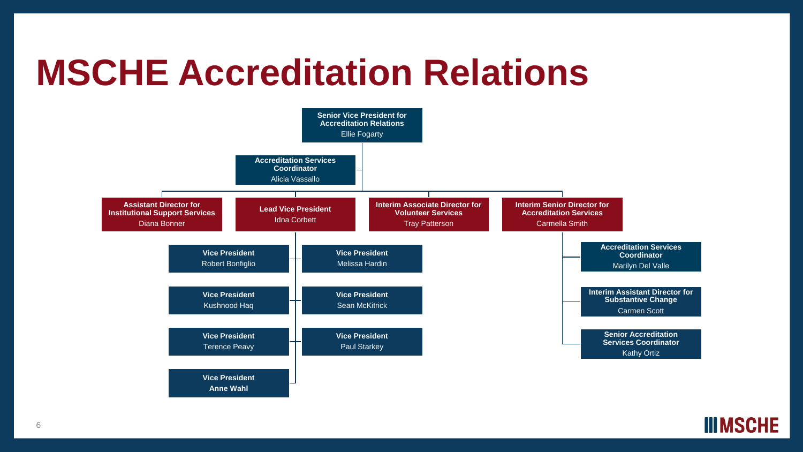#### **MSCHE Accreditation Relations**